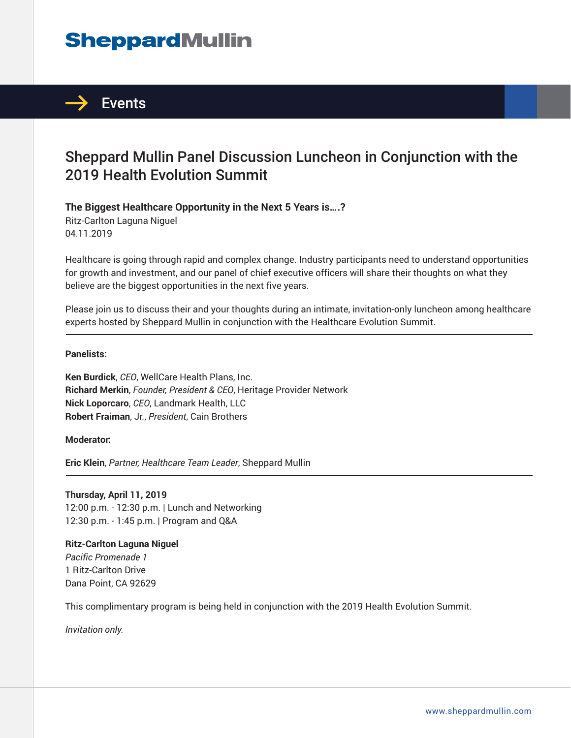# **SheppardMullin**



## Sheppard Mullin Panel Discussion Luncheon in Conjunction with the 2019 Health Evolution Summit

**The Biggest Healthcare Opportunity in the Next 5 Years is….?** Ritz-Carlton Laguna Niguel

04.11.2019

Healthcare is going through rapid and complex change. Industry participants need to understand opportunities for growth and investment, and our panel of chief executive officers will share their thoughts on what they believe are the biggest opportunities in the next five years.

Please join us to discuss their and your thoughts during an intimate, invitation-only luncheon among healthcare experts hosted by Sheppard Mullin in conjunction with the Healthcare Evolution Summit.  $\overline{a}$ 

#### **Panelists:**

**Ken Burdick**, *CEO*, WellCare Health Plans, Inc. **Richard Merkin**, *Founder, President & CEO*, Heritage Provider Network **Nick Loporcaro**, *CEO*, Landmark Health, LLC **Robert Fraiman**, Jr., *President*, Cain Brothers

**Moderator:**

**Eric Klein**, *Partner, Healthcare Team Leader*, Sheppard Mullin ֦

#### **Thursday, April 11, 2019**

12:00 p.m. - 12:30 p.m. | Lunch and Networking 12:30 p.m. - 1:45 p.m. | Program and Q&A

#### **Ritz-Carlton Laguna Niguel**

*Pacific Promenade 1* 1 Ritz-Carlton Drive Dana Point, CA 92629

This complimentary program is being held in conjunction with the 2019 Health Evolution Summit.

*Invitation only.*